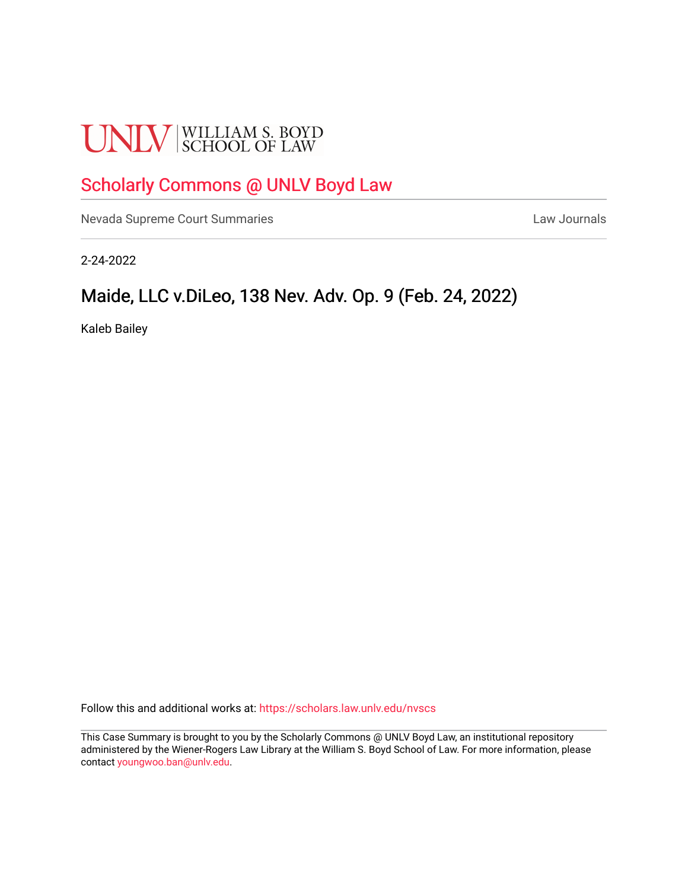# **UNLV** SCHOOL OF LAW

# [Scholarly Commons @ UNLV Boyd Law](https://scholars.law.unlv.edu/)

[Nevada Supreme Court Summaries](https://scholars.law.unlv.edu/nvscs) **Law Journals** Law Journals

2-24-2022

## Maide, LLC v.DiLeo, 138 Nev. Adv. Op. 9 (Feb. 24, 2022)

Kaleb Bailey

Follow this and additional works at: [https://scholars.law.unlv.edu/nvscs](https://scholars.law.unlv.edu/nvscs?utm_source=scholars.law.unlv.edu%2Fnvscs%2F1484&utm_medium=PDF&utm_campaign=PDFCoverPages)

This Case Summary is brought to you by the Scholarly Commons @ UNLV Boyd Law, an institutional repository administered by the Wiener-Rogers Law Library at the William S. Boyd School of Law. For more information, please contact [youngwoo.ban@unlv.edu](mailto:youngwoo.ban@unlv.edu).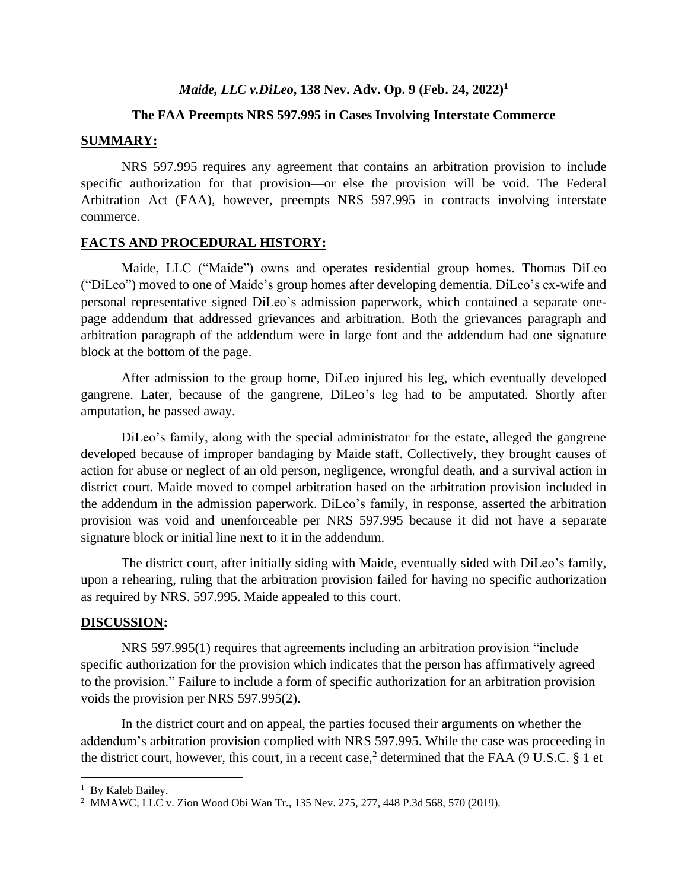## *Maide, LLC v.DiLeo***, 138 Nev. Adv. Op. 9 (Feb. 24, 2022) 1**

#### **The FAA Preempts NRS 597.995 in Cases Involving Interstate Commerce**

#### **SUMMARY:**

NRS 597.995 requires any agreement that contains an arbitration provision to include specific authorization for that provision—or else the provision will be void. The Federal Arbitration Act (FAA), however, preempts NRS 597.995 in contracts involving interstate commerce.

#### **FACTS AND PROCEDURAL HISTORY:**

Maide, LLC ("Maide") owns and operates residential group homes. Thomas DiLeo ("DiLeo") moved to one of Maide's group homes after developing dementia. DiLeo's ex-wife and personal representative signed DiLeo's admission paperwork, which contained a separate onepage addendum that addressed grievances and arbitration. Both the grievances paragraph and arbitration paragraph of the addendum were in large font and the addendum had one signature block at the bottom of the page.

After admission to the group home, DiLeo injured his leg, which eventually developed gangrene. Later, because of the gangrene, DiLeo's leg had to be amputated. Shortly after amputation, he passed away.

DiLeo's family, along with the special administrator for the estate, alleged the gangrene developed because of improper bandaging by Maide staff. Collectively, they brought causes of action for abuse or neglect of an old person, negligence, wrongful death, and a survival action in district court. Maide moved to compel arbitration based on the arbitration provision included in the addendum in the admission paperwork. DiLeo's family, in response, asserted the arbitration provision was void and unenforceable per NRS 597.995 because it did not have a separate signature block or initial line next to it in the addendum.

The district court, after initially siding with Maide, eventually sided with DiLeo's family, upon a rehearing, ruling that the arbitration provision failed for having no specific authorization as required by NRS. 597.995. Maide appealed to this court.

#### **DISCUSSION:**

NRS 597.995(1) requires that agreements including an arbitration provision "include specific authorization for the provision which indicates that the person has affirmatively agreed to the provision." Failure to include a form of specific authorization for an arbitration provision voids the provision per NRS 597.995(2).

In the district court and on appeal, the parties focused their arguments on whether the addendum's arbitration provision complied with NRS 597.995. While the case was proceeding in the district court, however, this court, in a recent case,<sup>2</sup> determined that the FAA (9 U.S.C.  $\S$  1 et

<sup>&</sup>lt;sup>1</sup> By Kaleb Bailey.

<sup>2</sup> MMAWC, LLC v. Zion Wood Obi Wan Tr., 135 Nev. 275, 277, 448 P.3d 568, 570 (2019).